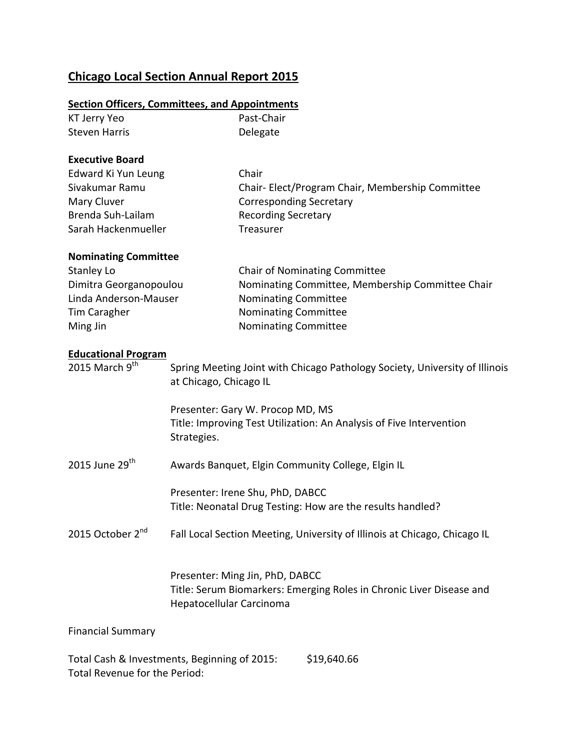## **Chicago Local Section Annual Report 2015**

## **Section Officers, Committees, and Appointments**

| KT Jerry Yeo                                   |                                                                                                       | Past-Chair                                                                |  |
|------------------------------------------------|-------------------------------------------------------------------------------------------------------|---------------------------------------------------------------------------|--|
| <b>Steven Harris</b>                           |                                                                                                       | Delegate                                                                  |  |
|                                                |                                                                                                       |                                                                           |  |
| <b>Executive Board</b>                         |                                                                                                       |                                                                           |  |
| Edward Ki Yun Leung                            |                                                                                                       | Chair                                                                     |  |
| Sivakumar Ramu                                 |                                                                                                       | Chair-Elect/Program Chair, Membership Committee                           |  |
| Mary Cluver                                    |                                                                                                       | <b>Corresponding Secretary</b>                                            |  |
| Brenda Suh-Lailam                              |                                                                                                       | <b>Recording Secretary</b>                                                |  |
| Sarah Hackenmueller                            |                                                                                                       | Treasurer                                                                 |  |
| <b>Nominating Committee</b>                    |                                                                                                       |                                                                           |  |
| <b>Stanley Lo</b>                              |                                                                                                       | <b>Chair of Nominating Committee</b>                                      |  |
| Dimitra Georganopoulou                         |                                                                                                       | Nominating Committee, Membership Committee Chair                          |  |
| Linda Anderson-Mauser                          |                                                                                                       | <b>Nominating Committee</b>                                               |  |
| Tim Caragher                                   |                                                                                                       | Nominating Committee                                                      |  |
| Ming Jin                                       |                                                                                                       | Nominating Committee                                                      |  |
|                                                |                                                                                                       |                                                                           |  |
| <b>Educational Program</b><br>2015 March $9th$ |                                                                                                       |                                                                           |  |
|                                                | Spring Meeting Joint with Chicago Pathology Society, University of Illinois<br>at Chicago, Chicago IL |                                                                           |  |
|                                                |                                                                                                       |                                                                           |  |
|                                                | Presenter: Gary W. Procop MD, MS                                                                      |                                                                           |  |
| Strategies.                                    |                                                                                                       | Title: Improving Test Utilization: An Analysis of Five Intervention       |  |
|                                                |                                                                                                       |                                                                           |  |
|                                                |                                                                                                       |                                                                           |  |
| 2015 June 29 <sup>th</sup>                     | Awards Banquet, Elgin Community College, Elgin IL                                                     |                                                                           |  |
|                                                | Presenter: Irene Shu, PhD, DABCC                                                                      |                                                                           |  |
|                                                | Title: Neonatal Drug Testing: How are the results handled?                                            |                                                                           |  |
|                                                |                                                                                                       |                                                                           |  |
| 2015 October 2 <sup>nd</sup>                   |                                                                                                       | Fall Local Section Meeting, University of Illinois at Chicago, Chicago IL |  |
|                                                |                                                                                                       |                                                                           |  |
|                                                | Presenter: Ming Jin, PhD, DABCC                                                                       |                                                                           |  |
|                                                | Title: Serum Biomarkers: Emerging Roles in Chronic Liver Disease and                                  |                                                                           |  |
|                                                | Hepatocellular Carcinoma                                                                              |                                                                           |  |
| <b>Financial Summary</b>                       |                                                                                                       |                                                                           |  |
|                                                |                                                                                                       |                                                                           |  |
|                                                |                                                                                                       |                                                                           |  |

Total Cash & Investments, Beginning of 2015: \$19,640.66 Total Revenue for the Period: